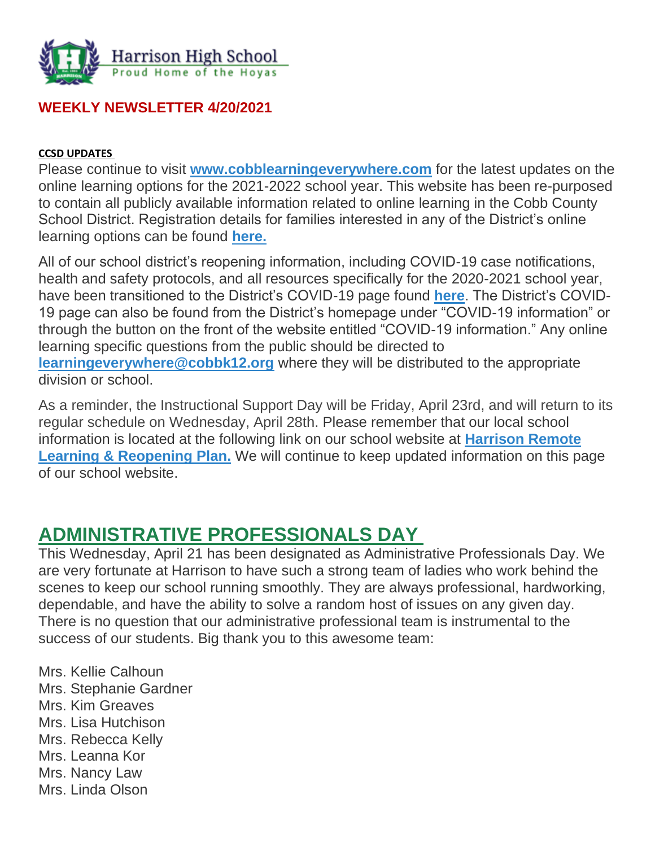

### **WEEKLY NEWSLETTER 4/20/2021**

#### **CCSD UPDATES**

Please continue to visit **[www.cobblearningeverywhere.com](http://www.cobblearningeverywhere.com/)** for the latest updates on the online learning options for the 2021-2022 school year. This website has been re-purposed to contain all publicly available information related to online learning in the Cobb County School District. Registration details for families interested in any of the District's online learning options can be found **[here.](https://www.cobbk12.org/_ci/p/40864)**

All of our school district's reopening information, including COVID-19 case notifications, health and safety protocols, and all resources specifically for the 2020-2021 school year, have been transitioned to the District's COVID-19 page found **[here](https://www.cobbk12.org/page/40427/covid-19-information)**. The District's COVID-19 page can also be found from the District's homepage under "COVID-19 information" or through the button on the front of the website entitled "COVID-19 information." Any online learning specific questions from the public should be directed to **[learningeverywhere@cobbk12.org](mailto:learningeverywhere@cobbk12.org)** where they will be distributed to the appropriate division or school.

As a reminder, the Instructional Support Day will be Friday, April 23rd, and will return to its regular schedule on Wednesday, April 28th. Please remember that our local school information is located at the following link on our school website at **[Harrison Remote](http://www.harrisonhigh.org/Remote-Learning-Information)  [Learning & Reopening Plan.](http://www.harrisonhigh.org/Remote-Learning-Information)** We will continue to keep updated information on this page of our school website.

# **ADMINISTRATIVE PROFESSIONALS DAY**

This Wednesday, April 21 has been designated as Administrative Professionals Day. We are very fortunate at Harrison to have such a strong team of ladies who work behind the scenes to keep our school running smoothly. They are always professional, hardworking, dependable, and have the ability to solve a random host of issues on any given day. There is no question that our administrative professional team is instrumental to the success of our students. Big thank you to this awesome team:

Mrs. Kellie Calhoun Mrs. Stephanie Gardner Mrs. Kim Greaves Mrs. Lisa Hutchison Mrs. Rebecca Kelly Mrs. Leanna Kor Mrs. Nancy Law Mrs. Linda Olson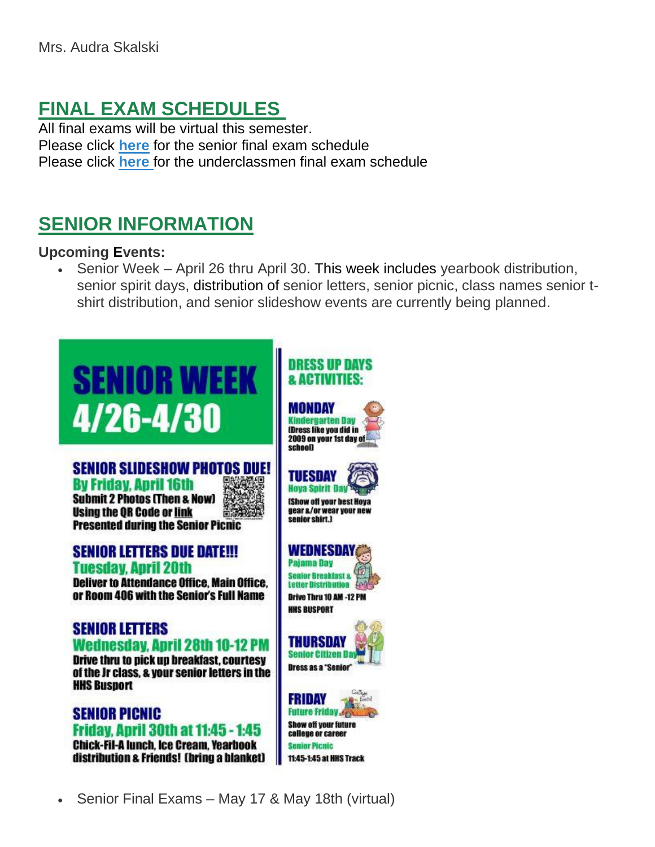# **FINAL EXAM SCHEDULES**

All final exams will be virtual this semester. Please click **[here](https://tb2cdn.schoolwebmasters.com/accnt_42975/site_42976/Documents/Senior-Final-Exam-Schedule.pdf)** for the senior final exam schedule Please click **[here](https://tb2cdn.schoolwebmasters.com/accnt_42975/site_42976/Documents/Underclassmen-Final-Exam-Schedule.pdf)** for the underclassmen final exam schedule

# **SENIOR INFORMATION**

#### **Upcoming Events:**

• Senior Week – April 26 thru April 30. This week includes yearbook distribution, senior spirit days, distribution of senior letters, senior picnic, class names senior tshirt distribution, and senior slideshow events are currently being planned.



# **SENIOR SLIDESHOW PHOTOS DUE!**

Ry Friday, Anril 16th **Submit 2 Photos (Then & Now) Using the QR Code or link Presented during the Senior Picnic** 



**Deliver to Attendance Office, Main Office,** or Room 406 with the Senior's Full Name

#### **SENIOR LETTERS** Wednesday, April 28th 10-12 PM

Drive thru to pick up breakfast, courtesy of the Jr class, & your senior letters in the **HHS Busport** 

**SENIOR PICNIC Friday, Anril 30th at 11:45 - 1:45 Chick-Fil-A lunch, Ice Cream, Yearbook** distribution & Friends! (bring a blanket)

# **DRESS UP DAYS**

MONDAY **Kindergarten Day** (Dress like you did in 2009 on your 1st day of schooll



**IShow off your best Hoya** gear &/or wear your new senior shirt.)

#### WEDNESDAY

**Pajama Day Senior Breakfast &** Letter Distribution Sex **Drive Thru 10 AM -12 PM HHS BUSPORT** 



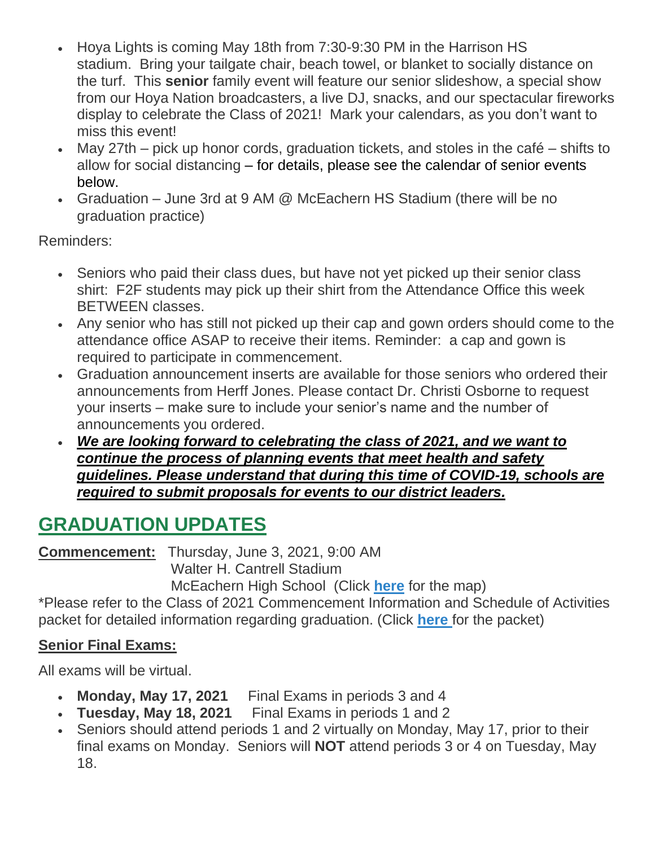- Hoya Lights is coming May 18th from 7:30-9:30 PM in the Harrison HS stadium. Bring your tailgate chair, beach towel, or blanket to socially distance on the turf. This **senior** family event will feature our senior slideshow, a special show from our Hoya Nation broadcasters, a live DJ, snacks, and our spectacular fireworks display to celebrate the Class of 2021! Mark your calendars, as you don't want to miss this event!
- May 27th pick up honor cords, graduation tickets, and stoles in the café shifts to allow for social distancing – for details, please see the calendar of senior events below.
- Graduation June 3rd at 9 AM @ McEachern HS Stadium (there will be no graduation practice)

Reminders:

- Seniors who paid their class dues, but have not yet picked up their senior class shirt: F2F students may pick up their shirt from the Attendance Office this week BETWEEN classes.
- Any senior who has still not picked up their cap and gown orders should come to the attendance office ASAP to receive their items. Reminder: a cap and gown is required to participate in commencement.
- Graduation announcement inserts are available for those seniors who ordered their announcements from Herff Jones. Please contact Dr. Christi Osborne to request your inserts – make sure to include your senior's name and the number of announcements you ordered.
- *We are looking forward to celebrating the class of 2021, and we want to continue the process of planning events that meet health and safety guidelines. Please understand that during this time of COVID-19, schools are required to submit proposals for events to our district leaders.*

# **GRADUATION UPDATES**

**Commencement:** Thursday, June 3, 2021, 9:00 AM

Walter H. Cantrell Stadium

McEachern High School (Click **[here](https://tb2cdn.schoolwebmasters.com/accnt_42975/site_42976/Documents/Graduation-Map%60.pdf)** for the map)

\*Please refer to the Class of 2021 Commencement Information and Schedule of Activities packet for detailed information regarding graduation. (Click **[here](https://tb2cdn.schoolwebmasters.com/accnt_42975/site_42976/Documents/Commencement-Info-Packet.pdf)** for the packet)

# **Senior Final Exams:**

All exams will be virtual.

- **Monday, May 17, 2021** Final Exams in periods 3 and 4
- **Tuesday, May 18, 2021** Final Exams in periods 1 and 2
- Seniors should attend periods 1 and 2 virtually on Monday, May 17, prior to their final exams on Monday. Seniors will **NOT** attend periods 3 or 4 on Tuesday, May 18.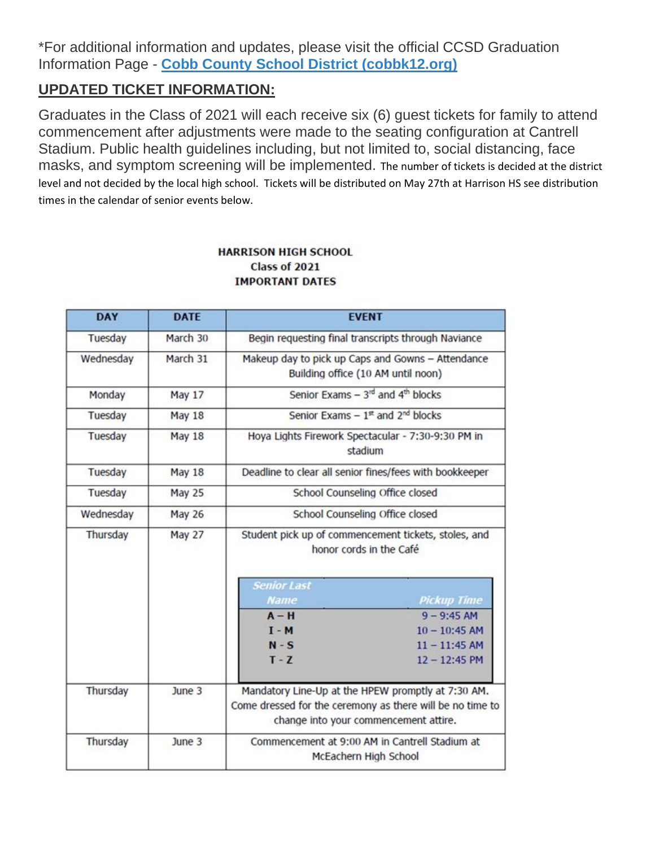\*For additional information and updates, please visit the official CCSD Graduation Information Page - **[Cobb County School District \(cobbk12.org\)](https://www.cobbk12.org/page/6862/graduation-commencement-info)**

### **UPDATED TICKET INFORMATION:**

Graduates in the Class of 2021 will each receive six (6) guest tickets for family to attend commencement after adjustments were made to the seating configuration at Cantrell Stadium. Public health guidelines including, but not limited to, social distancing, face masks, and symptom screening will be implemented. The number of tickets is decided at the district level and not decided by the local high school. Tickets will be distributed on May 27th at Harrison HS see distribution times in the calendar of senior events below.

#### **DAY DATE EVENT** March 30 Begin requesting final transcripts through Naviance Tuesday Wednesday March 31 Makeup day to pick up Caps and Gowns - Attendance Building office (10 AM until noon) Senior Exams -  $3^{rd}$  and  $4^{th}$  blocks May 17 Monday Senior Exams -  $1<sup>st</sup>$  and  $2<sup>nd</sup>$  blocks Tuesday **May 18** Hoya Lights Firework Spectacular - 7:30-9:30 PM in May 18 Tuesday stadium Deadline to clear all senior fines/fees with bookkeeper Tuesday May 18 **May 25** School Counseling Office closed Tuesday Wednesday **May 26** School Counseling Office closed **May 27** Thursday Student pick up of commencement tickets, stoles, and honor cords in the Café **Senior Last Pickup Time Name**  $A - H$  $9 - 9:45$  AM  $I - M$  $10 - 10:45$  AM  $N-S$  $11 - 11:45$  AM  $T - Z$  $12 - 12:45$  PM Mandatory Line-Up at the HPEW promptly at 7:30 AM. Thursday June 3 Come dressed for the ceremony as there will be no time to change into your commencement attire. Thursday June 3 Commencement at 9:00 AM in Cantrell Stadium at McEachern High School

#### **HARRISON HIGH SCHOOL** Class of 2021 **IMPORTANT DATES**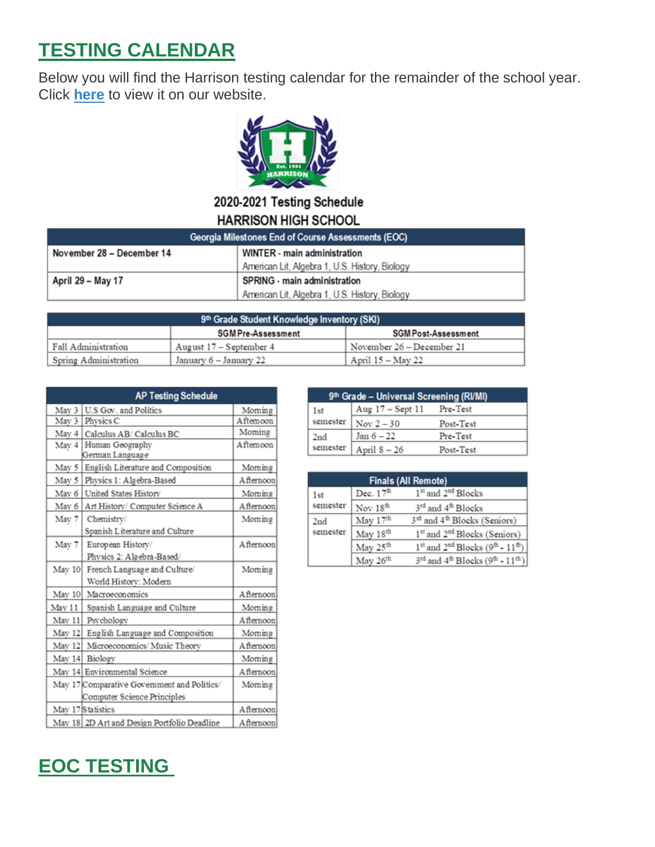# **TESTING CALENDAR**

Below you will find the Harrison testing calendar for the remainder of the school year. Click **[here](https://tb2cdn.schoolwebmasters.com/accnt_42975/site_42976/Testing%20Schedule%20-%20Harrison.pdf)** to view it on our website.



#### 2020-2021 Testing Schedule **HARRISON HIGH SCHOOL**

| Georgia Milestones End of Course Assessments (EOC) |                                                |  |
|----------------------------------------------------|------------------------------------------------|--|
| November 28 - December 14                          | WINTER - main administration                   |  |
|                                                    | American Lit, Algebra 1, U.S. History, Biology |  |
| April 29 – May 17                                  | SPRING - main administration                   |  |
|                                                    | American Lit, Algebra 1, U.S. History, Biology |  |

| 9th Grade Student Knowledge Inventory (SKI) |                           |                            |  |
|---------------------------------------------|---------------------------|----------------------------|--|
|                                             | <b>SGM Pre-Assessment</b> | <b>SGM Post-Assessment</b> |  |
| Fall Administration                         | August $17 -$ September 4 | November 26 - December 21  |  |
| Spring Administration                       | January 6 – January 22    | April 15 – May 22          |  |

|        | <b>AP Testing Schedule</b>                  |            |
|--------|---------------------------------------------|------------|
| May 3  | U.S Gov. and Politics                       | Moming     |
| May 3  | Physics C                                   | Aftemoon   |
| May 4  | Calculus AB/Calculus BC                     | Moming     |
| May 4  | Human Geography<br>German Language          | A ftemoon  |
| May 5  | English Literature and Composition          | Moming     |
| May 5  | Physics 1: Algebra-Based                    | A fternoon |
| May 6  | United States History                       | Moming     |
| May 6  | Art History/ Computer Science A             | A fternoon |
| May 7  | Chemistry/                                  | Moming     |
|        | Spanish Literature and Culture              |            |
| May 7  | European History/                           | A fternoon |
|        | Physics 2: Algebra-Based/                   |            |
| May 10 | French Language and Culture/                | Moming     |
|        | World History: Modern                       |            |
| May 10 | Macroeconomics                              | Afternoon  |
| May 11 | Spanish Language and Culture                | Moming     |
| May 11 | Psychology                                  | Afternoon  |
| May 12 | English Language and Composition            | Moming     |
| May 12 | Microeconomics/Music Theory                 | A fternoon |
| May 14 | Biology                                     | Moming     |
|        | May 14 Environmental Science                | A fternoon |
|        | May 17 Comparative Government and Politics/ | Moming     |
|        | Computer Science Principles                 |            |
|        | May 17 Statistics                           | Afternoon  |
|        | May 18 2D Art and Design Portfolio Deadline | A fternoon |

| 9th Grade - Universal Screening (RI/MI) |                  |           |  |
|-----------------------------------------|------------------|-----------|--|
| 1st                                     | Aug 17 - Sept 11 | Pre-Test  |  |
| semester                                | Nov $2-30$       | Post-Test |  |
| 2nd                                     | Jan $6-22$       | Pre-Test  |  |
| semester                                | April $8 - 26$   | Post-Test |  |

| <b>Finals (All Remote)</b> |                      |                                                                                  |  |
|----------------------------|----------------------|----------------------------------------------------------------------------------|--|
| 1st                        | Dec. $17th$          | 1 <sup>st</sup> and 2 <sup>nd</sup> Blocks                                       |  |
| semester                   | Nov 18 <sup>th</sup> | 3rd and 4th Blocks                                                               |  |
| 2nd                        | May 17th             | 3rd and 4th Blocks (Seniors)                                                     |  |
| semester                   | May 18th             | 1 <sup>st</sup> and 2 <sup>nd</sup> Blocks (Seniors)                             |  |
|                            | May 25th             | $1st$ and $2nd$ Blocks (9 <sup>th</sup> - $11th$ )                               |  |
|                            | May 26th             | $3^{\text{rd}}$ and $4^{\text{th}}$ Blocks (9 <sup>th</sup> - 11 <sup>th</sup> ) |  |

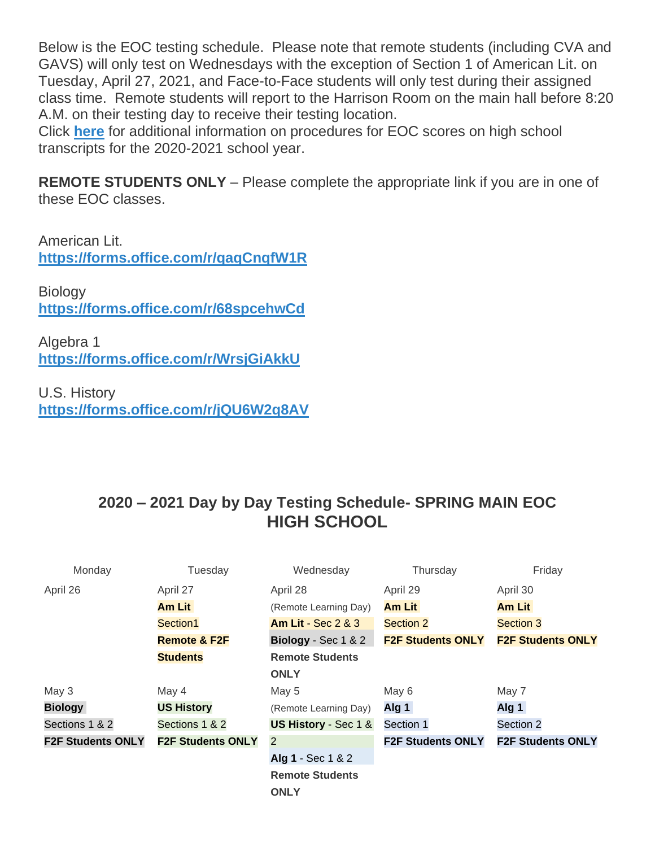Below is the EOC testing schedule. Please note that remote students (including CVA and GAVS) will only test on Wednesdays with the exception of Section 1 of American Lit. on Tuesday, April 27, 2021, and Face-to-Face students will only test during their assigned class time. Remote students will report to the Harrison Room on the main hall before 8:20 A.M. on their testing day to receive their testing location.

Click **[here](https://tb2cdn.schoolwebmasters.com/accnt_42975/site_42976/Documents/EOC-Scores-on-Transcripts-2020-2021.pdf)** for additional information on procedures for EOC scores on high school transcripts for the 2020-2021 school year.

**REMOTE STUDENTS ONLY** – Please complete the appropriate link if you are in one of these EOC classes.

American Lit. **<https://forms.office.com/r/qaqCnqfW1R>**

**Biology <https://forms.office.com/r/68spcehwCd>**

Algebra 1 **<https://forms.office.com/r/WrsjGiAkkU>**

U.S. History **<https://forms.office.com/r/jQU6W2q8AV>**

# **2020 – 2021 Day by Day Testing Schedule- SPRING MAIN EOC HIGH SCHOOL**

| Monday                   | Tuesday                  | Wednesday                       | Thursday                 | Friday                   |
|--------------------------|--------------------------|---------------------------------|--------------------------|--------------------------|
| April 26                 | April 27                 | April 28                        | April 29                 | April 30                 |
|                          | <b>Am Lit</b>            | (Remote Learning Day)           | <b>Am Lit</b>            | <b>Am Lit</b>            |
|                          | Section1                 | <b>Am Lit - Sec 2 &amp; 3</b>   | Section 2                | Section 3                |
|                          | <b>Remote &amp; F2F</b>  | Biology - Sec 1 & 2             | <b>F2F Students ONLY</b> | <b>F2F Students ONLY</b> |
|                          | <b>Students</b>          | <b>Remote Students</b>          |                          |                          |
|                          |                          | <b>ONLY</b>                     |                          |                          |
| May 3                    | May 4                    | May 5                           | May 6                    | May 7                    |
| <b>Biology</b>           | <b>US History</b>        | (Remote Learning Day)           | Alg 1                    | Alg 1                    |
| Sections 1 & 2           | Sections 1 & 2           | <b>US History - Sec 1 &amp;</b> | Section 1                | Section 2                |
| <b>F2F Students ONLY</b> | <b>F2F Students ONLY</b> | 2                               | <b>F2F Students ONLY</b> | <b>F2F Students ONLY</b> |
|                          |                          | Alg 1 - Sec 1 & 2               |                          |                          |
|                          |                          | <b>Remote Students</b>          |                          |                          |
|                          |                          | <b>ONLY</b>                     |                          |                          |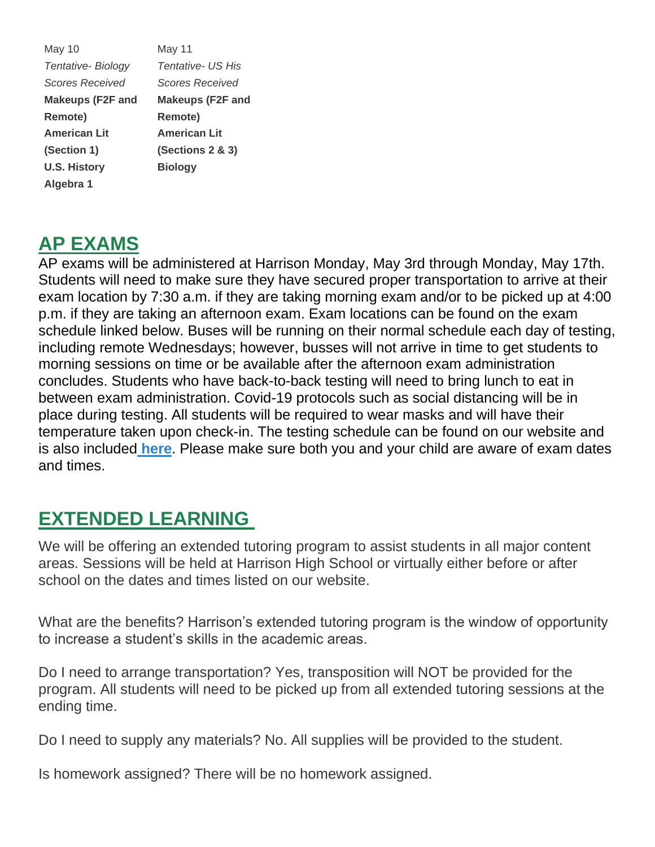May 10 *Tentative- Biology Scores Received* **Makeups (F2F and Remote) American Lit (Section 1) U.S. History Algebra 1** May 11 *Tentative- US His Scores Received* **Makeups (F2F and Remote) American Lit (Sections 2 & 3) Biology**

# **AP EXAMS**

AP exams will be administered at Harrison Monday, May 3rd through Monday, May 17th. Students will need to make sure they have secured proper transportation to arrive at their exam location by 7:30 a.m. if they are taking morning exam and/or to be picked up at 4:00 p.m. if they are taking an afternoon exam. Exam locations can be found on the exam schedule linked below. Buses will be running on their normal schedule each day of testing, including remote Wednesdays; however, busses will not arrive in time to get students to morning sessions on time or be available after the afternoon exam administration concludes. Students who have back-to-back testing will need to bring lunch to eat in between exam administration. Covid-19 protocols such as social distancing will be in place during testing. All students will be required to wear masks and will have their temperature taken upon check-in. The testing schedule can be found on our website and is also included **[here](https://cobbk12org-my.sharepoint.com/:b:/g/personal/lucia_poole_cobbk12_org/EaUwu7c2qTJAp3Q5G3T33AgBprS8G6_tug7J7ubmxfGD_A?e=wSKqvY)**. Please make sure both you and your child are aware of exam dates and times.

# **EXTENDED LEARNING**

We will be offering an extended tutoring program to assist students in all major content areas. Sessions will be held at Harrison High School or virtually either before or after school on the dates and times listed on our website.

What are the benefits? Harrison's extended tutoring program is the window of opportunity to increase a student's skills in the academic areas.

Do I need to arrange transportation? Yes, transposition will NOT be provided for the program. All students will need to be picked up from all extended tutoring sessions at the ending time.

Do I need to supply any materials? No. All supplies will be provided to the student.

Is homework assigned? There will be no homework assigned.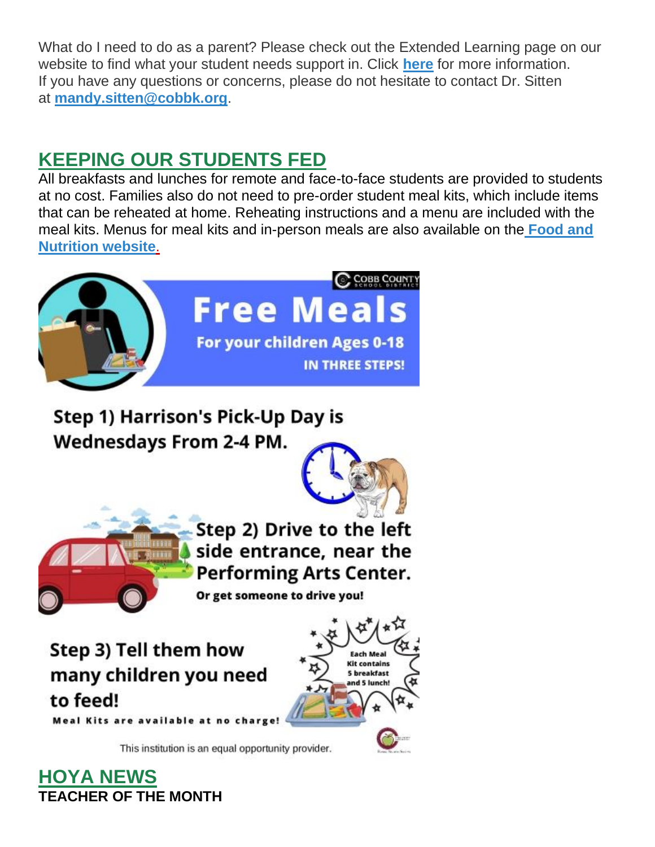What do I need to do as a parent? Please check out the Extended Learning page on our website to find what your student needs support in. Click **[here](http://www.cobblearning.net/msitten2212/)** for more information. If you have any questions or concerns, please do not hesitate to contact Dr. Sitten at **[mandy.sitten@cobbk.org](mailto:mandy.sitten@cobbk.org)**.

# **KEEPING OUR STUDENTS FED**

All breakfasts and lunches for remote and face-to-face students are provided to students at no cost. Families also do not need to pre-order student meal kits, which include items that can be reheated at home. Reheating instructions and a menu are included with the meal kits. Menus for meal kits and in-person meals are also available on th[e](http://info.cobbk12.org/centraloffice/foodservices/indexMenus.aspx) **[Food and](http://info.cobbk12.org/centraloffice/foodservices/indexMenus.aspx)  [Nutrition website](http://info.cobbk12.org/centraloffice/foodservices/indexMenus.aspx)**[.](http://info.cobbk12.org/centraloffice/foodservices/indexMenus.aspx)



Step 1) Harrison's Pick-Up Day is **Wednesdays From 2-4 PM.** 



**Each Meal Kit contains** 

5 breakfast and 5 lunch!



Step 2) Drive to the left side entrance, near the **Performing Arts Center.** 

Or get someone to drive you!

Step 3) Tell them how many children you need to feed!

Meal Kits are available at no ch

This institution is an equal opportunity provider.

**HOYA NEWS TEACHER OF THE MONTH**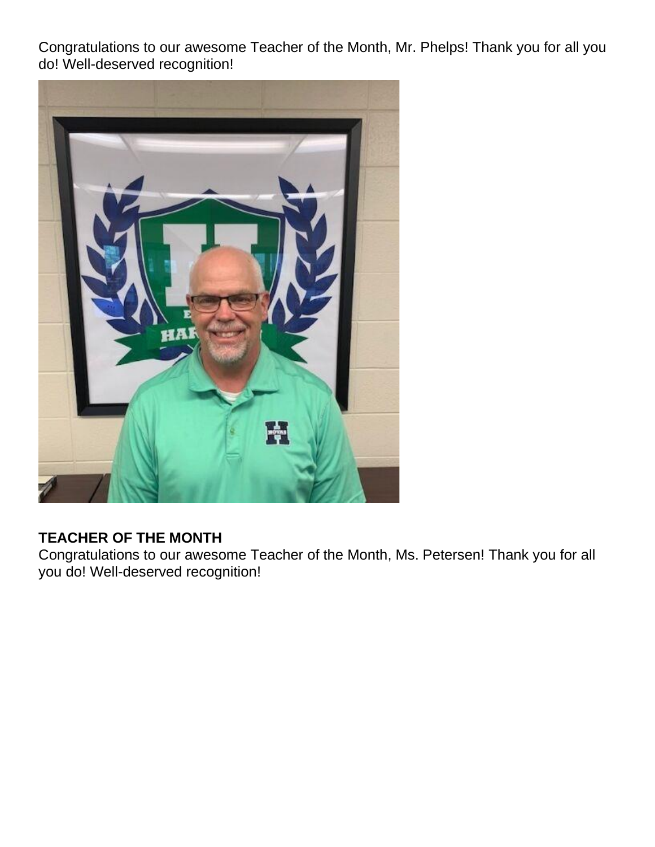Congratulations to our awesome Teacher of the Month, Mr. Phelps! Thank you for all you do! Well-deserved recognition!



# **TEACHER OF THE MONTH**

Congratulations to our awesome Teacher of the Month, Ms. Petersen! Thank you for all you do! Well-deserved recognition!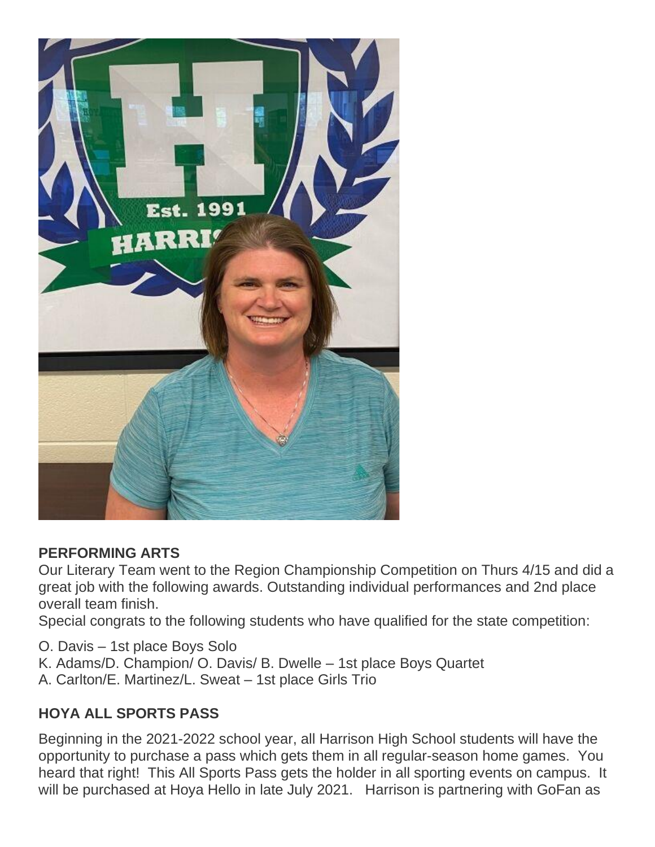

#### **PERFORMING ARTS**

Our Literary Team went to the Region Championship Competition on Thurs 4/15 and did a great job with the following awards. Outstanding individual performances and 2nd place overall team finish.

Special congrats to the following students who have qualified for the state competition:

O. Davis – 1st place Boys Solo K. Adams/D. Champion/ O. Davis/ B. Dwelle – 1st place Boys Quartet A. Carlton/E. Martinez/L. Sweat – 1st place Girls Trio

# **HOYA ALL SPORTS PASS**

Beginning in the 2021-2022 school year, all Harrison High School students will have the opportunity to purchase a pass which gets them in all regular-season home games. You heard that right! This All Sports Pass gets the holder in all sporting events on campus. It will be purchased at Hoya Hello in late July 2021. Harrison is partnering with GoFan as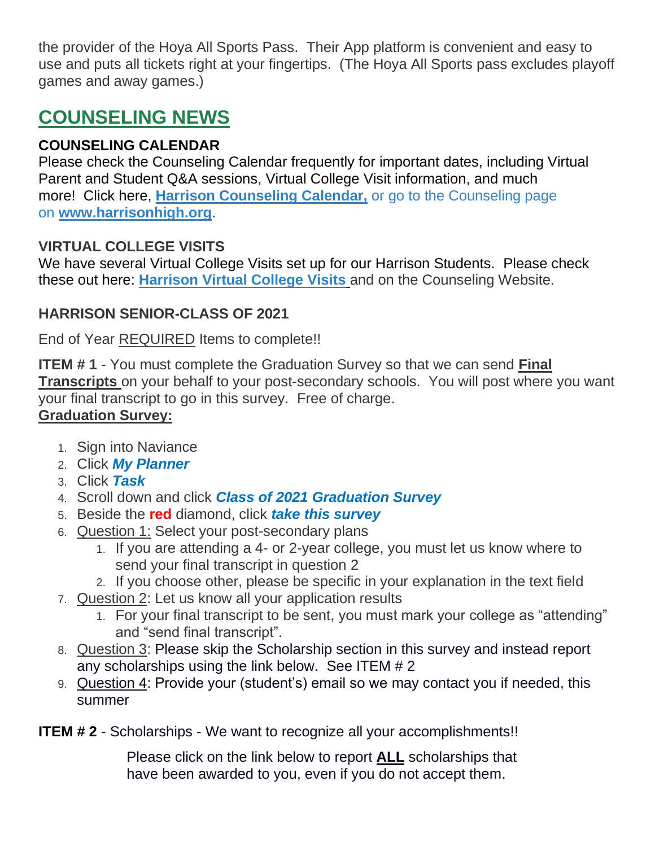the provider of the Hoya All Sports Pass. Their App platform is convenient and easy to use and puts all tickets right at your fingertips. (The Hoya All Sports pass excludes playoff games and away games.)

# **COUNSELING NEWS**

### **COUNSELING CALENDAR**

Please check the Counseling Calendar frequently for important dates, including Virtual Parent and Student Q&A sessions, Virtual College Visit information, and much more! Click here, **[Harrison Counseling Calendar,](https://calendar.google.com/calendar/embed?src=tasr4q5spailsj1itftjdtn6mk%40group.calendar.google.com&ctz=America%2FNew_York)** or go to the Counseling page on **[www.harrisonhigh.org](http://www.harrisonhigh.org/)**.

#### **VIRTUAL COLLEGE VISITS**

We have several Virtual College Visits set up for our Harrison Students. Please check these out here: **[Harrison Virtual College Visits](https://cobbk12org-my.sharepoint.com/:x:/g/personal/leanna_kor_cobbk12_org/EWP6BGgLdCBOvhv5RDRuCVwBqHA2jXXmnAUqr7hXgxEU7w?rtime=t-E10MJN2Eg)** and on the Counseling Website.

### **HARRISON SENIOR-CLASS OF 2021**

End of Year REQUIRED Items to complete!!

**ITEM # 1** - You must complete the Graduation Survey so that we can send **Final Transcripts** on your behalf to your post-secondary schools. You will post where you want your final transcript to go in this survey. Free of charge. **Graduation Survey:**

- 1. Sign into Naviance
- 2. Click *My Planner*
- 3. Click *Task*
- 4. Scroll down and click *Class of 2021 Graduation Survey*
- 5. Beside the **red** diamond, click *take this survey*
- 6. Question 1: Select your post-secondary plans
	- 1. If you are attending a 4- or 2-year college, you must let us know where to send your final transcript in question 2
	- 2. If you choose other, please be specific in your explanation in the text field
- 7. Question 2: Let us know all your application results
	- 1. For your final transcript to be sent, you must mark your college as "attending" and "send final transcript".
- 8. Question 3: Please skip the Scholarship section in this survey and instead report any scholarships using the link below. See ITEM # 2
- 9. Question 4: Provide your (student's) email so we may contact you if needed, this summer

**ITEM # 2** - Scholarships - We want to recognize all your accomplishments!!

Please click on the link below to report **ALL** scholarships that have been awarded to you, even if you do not accept them.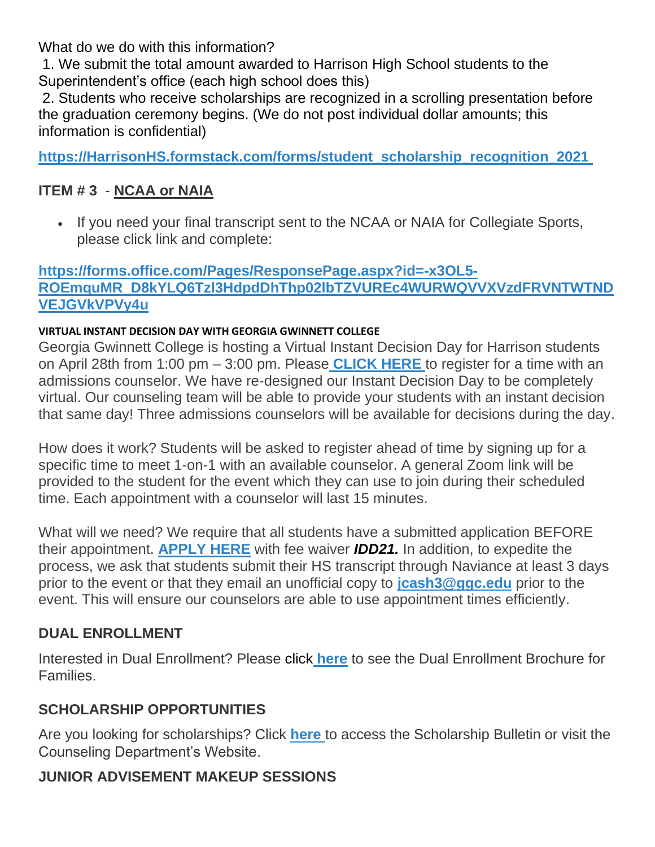What do we do with this information?

1. We submit the total amount awarded to Harrison High School students to the Superintendent's office (each high school does this)

2. Students who receive scholarships are recognized in a scrolling presentation before the graduation ceremony begins. (We do not post individual dollar amounts; this information is confidential)

**[https://HarrisonHS.formstack.com/forms/student\\_scholarship\\_recognition\\_2021](https://harrisonhs.formstack.com/forms/student_scholarship_recognition_2021)**

# **ITEM # 3** - **NCAA or NAIA**

• If you need your final transcript sent to the NCAA or NAIA for Collegiate Sports, please click link and complete:

#### **[https://forms.office.com/Pages/ResponsePage.aspx?id=-x3OL5-](https://forms.office.com/Pages/ResponsePage.aspx?id=-x3OL5-ROEmquMR_D8kYLQ6Tzl3HdpdDhThp02lbTZVUREc4WURWQVVXVzdFRVNTWTNDVEJGVkVPVy4u) [ROEmquMR\\_D8kYLQ6Tzl3HdpdDhThp02lbTZVUREc4WURWQVVXVzdFRVNTWTND](https://forms.office.com/Pages/ResponsePage.aspx?id=-x3OL5-ROEmquMR_D8kYLQ6Tzl3HdpdDhThp02lbTZVUREc4WURWQVVXVzdFRVNTWTNDVEJGVkVPVy4u) [VEJGVkVPVy4u](https://forms.office.com/Pages/ResponsePage.aspx?id=-x3OL5-ROEmquMR_D8kYLQ6Tzl3HdpdDhThp02lbTZVUREc4WURWQVVXVzdFRVNTWTNDVEJGVkVPVy4u)**

#### **VIRTUAL INSTANT DECISION DAY WITH GEORGIA GWINNETT COLLEGE**

Georgia Gwinnett College is hosting a Virtual Instant Decision Day for Harrison students on April 28th from 1:00 pm – 3:00 pm. Please **[CLICK HERE](https://nam11.safelinks.protection.outlook.com/?url=https%3A%2F%2Fwww.signupgenius.com%2Fgo%2F10C0D45AAA728ABFAC43-georgia11&data=04%7C01%7CStephanie.Gardner%40cobbk12.org%7C851e95fd26fa45dc083408d900fb1cde%7C2fce1dfb919f4938aab8c47f0fc9182d%7C0%7C0%7C637541900807797167%7CUnknown%7CTWFpbGZsb3d8eyJWIjoiMC4wLjAwMDAiLCJQIjoiV2luMzIiLCJBTiI6Ik1haWwiLCJXVCI6Mn0%3D%7C1000&sdata=HB2GiIa9v%2Bf6c%2BOeN03GNzAkhSQ%2F3m7dENCIdE0HGK0%3D&reserved=0)** to register for a time with an admissions counselor. We have re-designed our Instant Decision Day to be completely virtual. Our counseling team will be able to provide your students with an instant decision that same day! Three admissions counselors will be available for decisions during the day.

How does it work? Students will be asked to register ahead of time by signing up for a specific time to meet 1-on-1 with an available counselor. A general Zoom link will be provided to the student for the event which they can use to join during their scheduled time. Each appointment with a counselor will last 15 minutes.

What will we need? We require that all students have a submitted application BEFORE their appointment. **[APPLY HERE](https://www.ggc.edu/admissions/how-to-apply/)** with fee waiver *IDD21.* In addition, to expedite the process, we ask that students submit their HS transcript through Naviance at least 3 days prior to the event or that they email an unofficial copy to **[jcash3@ggc.edu](mailto:jcash3@ggc.edu)** prior to the event. This will ensure our counselors are able to use appointment times efficiently.

# **DUAL ENROLLMENT**

Interested in Dual Enrollment? Please click **[here](https://drive.google.com/file/d/1eUb30z5062S_msnROjXY7DklX_dBlHKb/view)** to see the Dual Enrollment Brochure for Families.

# **SCHOLARSHIP OPPORTUNITIES**

Are you looking for scholarships? Click **[here](https://tb2cdn.schoolwebmasters.com/accnt_42975/site_42976/Documents/Scholarship-Bulletin.pdf)** to access the Scholarship Bulletin or visit the Counseling Department's Website.

# **JUNIOR ADVISEMENT MAKEUP SESSIONS**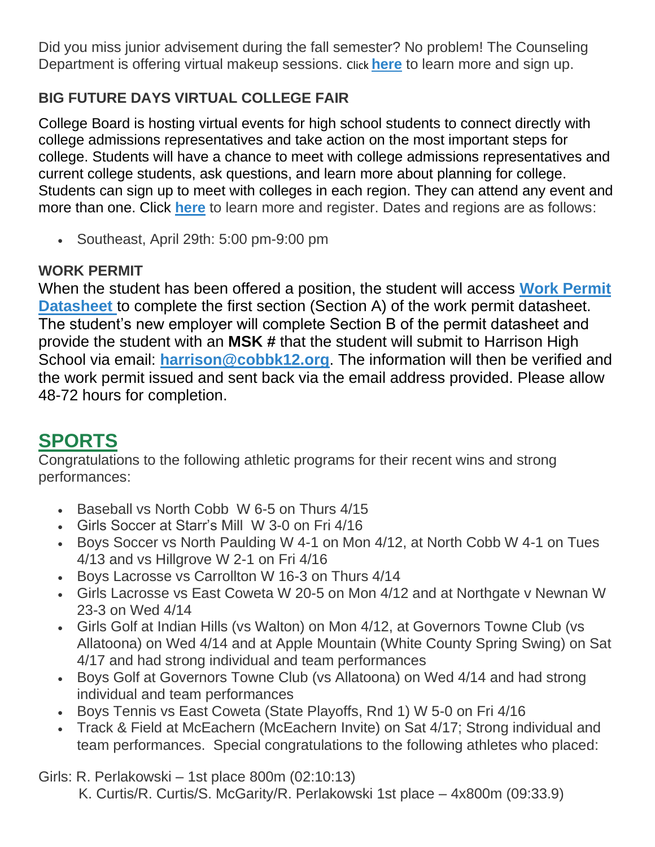Did you miss junior advisement during the fall semester? No problem! The Counseling Department is offering virtual makeup sessions. Click **[here](https://drive.google.com/file/d/1RpLokRjDgCL8ejq4N00KNG2SpHgxDFnf/view)** to learn more and sign up.

# **BIG FUTURE DAYS VIRTUAL COLLEGE FAIR**

College Board is hosting virtual events for high school students to connect directly with college admissions representatives and take action on the most important steps for college. Students will have a chance to meet with college admissions representatives and current college students, ask questions, and learn more about planning for college. Students can sign up to meet with colleges in each region. They can attend any event and more than one. Click **[here](https://pages.collegeboard.org/big-future-days?SFMC_cid=EM438518-&rid=47761625)** to learn more and register. Dates and regions are as follows:

• Southeast, April 29th: 5:00 pm-9:00 pm

# **WORK PERMIT**

When the student has been offered a position, the student will access **[Work Permit](https://nam03.safelinks.protection.outlook.com/?url=https%3A%2F%2Fwww.dol.state.ga.us%2FWS4-MW5%2Fcics.jsp%3FTRANSID%3DWP17%26FRMNAME%3DWP17&data=02%7C01%7CAudra.Skalski%40cobbk12.org%7C856357e8e49d4d50041d08d80cb84415%7C2fce1dfb919f4938aab8c47f0fc9182d%7C0%7C1%7C637273332845584845&sdata=sYK4oD2g8pZe2iY4gQXjSHJq%2FGMstnRRcs7%2F3kUZoWc%3D&reserved=0)  [Datasheet](https://nam03.safelinks.protection.outlook.com/?url=https%3A%2F%2Fwww.dol.state.ga.us%2FWS4-MW5%2Fcics.jsp%3FTRANSID%3DWP17%26FRMNAME%3DWP17&data=02%7C01%7CAudra.Skalski%40cobbk12.org%7C856357e8e49d4d50041d08d80cb84415%7C2fce1dfb919f4938aab8c47f0fc9182d%7C0%7C1%7C637273332845584845&sdata=sYK4oD2g8pZe2iY4gQXjSHJq%2FGMstnRRcs7%2F3kUZoWc%3D&reserved=0)** to complete the first section (Section A) of the work permit datasheet. The student's new employer will complete Section B of the permit datasheet and provide the student with an **MSK #** that the student will submit to Harrison High School via email: **[harrison@cobbk12.org](mailto:harrison@cobbk12.org)**. The information will then be verified and the work permit issued and sent back via the email address provided. Please allow 48-72 hours for completion.

# **SPORTS**

Congratulations to the following athletic programs for their recent wins and strong performances:

- Baseball vs North Cobb W 6-5 on Thurs 4/15
- Girls Soccer at Starr's Mill W 3-0 on Fri 4/16
- Boys Soccer vs North Paulding W 4-1 on Mon 4/12, at North Cobb W 4-1 on Tues 4/13 and vs Hillgrove W 2-1 on Fri 4/16
- Boys Lacrosse vs Carrollton W 16-3 on Thurs 4/14
- Girls Lacrosse vs East Coweta W 20-5 on Mon 4/12 and at Northgate v Newnan W 23-3 on Wed 4/14
- Girls Golf at Indian Hills (vs Walton) on Mon 4/12, at Governors Towne Club (vs Allatoona) on Wed 4/14 and at Apple Mountain (White County Spring Swing) on Sat 4/17 and had strong individual and team performances
- Boys Golf at Governors Towne Club (vs Allatoona) on Wed 4/14 and had strong individual and team performances
- Boys Tennis vs East Coweta (State Playoffs, Rnd 1) W 5-0 on Fri 4/16
- Track & Field at McEachern (McEachern Invite) on Sat 4/17; Strong individual and team performances. Special congratulations to the following athletes who placed:

Girls: R. Perlakowski – 1st place 800m (02:10:13)

K. Curtis/R. Curtis/S. McGarity/R. Perlakowski 1st place – 4x800m (09:33.9)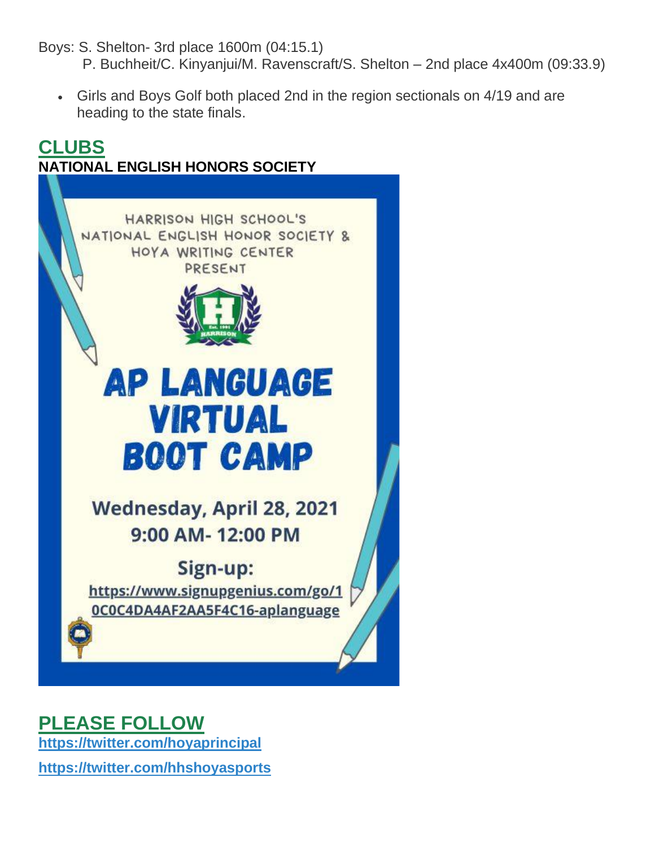Boys: S. Shelton- 3rd place 1600m (04:15.1)

- P. Buchheit/C. Kinyanjui/M. Ravenscraft/S. Shelton 2nd place 4x400m (09:33.9)
- Girls and Boys Golf both placed 2nd in the region sectionals on 4/19 and are heading to the state finals.



# **PLEASE FOLLOW**

**[https://twitter.com/hoyaprincipal](https://na01.safelinks.protection.outlook.com/?url=https%3A%2F%2Ftwitter.com%2Fhoyaprincipal&data=02%7C01%7Cmandy.sitten%40cobbk12.org%7C963d2ade9b7e4a5d624d08d649a9ac7f%7C2fce1dfb919f4938aab8c47f0fc9182d%7C0%7C0%7C636777390434366372&sdata=pqvHroKGHDRsX2sSVItHZiZPnvoMBzzJnfhQ9qAyG4w%3D&reserved=0)**

**[https://twitter.com/hhshoyasports](https://na01.safelinks.protection.outlook.com/?url=https%3A%2F%2Ftwitter.com%2Fhhshoyasports&data=02%7C01%7Cmandy.sitten%40cobbk12.org%7C963d2ade9b7e4a5d624d08d649a9ac7f%7C2fce1dfb919f4938aab8c47f0fc9182d%7C0%7C0%7C636777390434366372&sdata=NJ98yAEdg104DEJsmD3HCrbOdR7rk4X9lX54%2Fkibsdk%3D&reserved=0)**